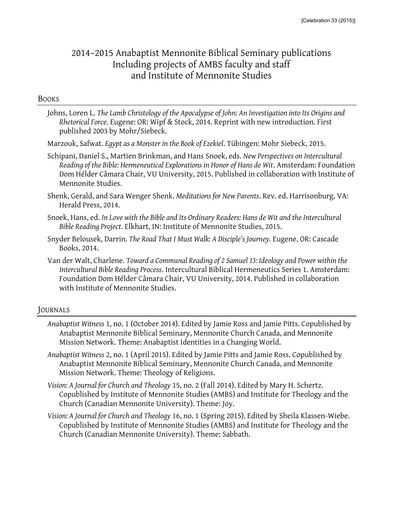# 2014–2015 Anabaptist Mennonite Biblical Seminary publications Including projects of AMBS faculty and staff and Institute of Mennonite Studies

#### **BOOKS**

- Johns, Loren L. *The Lamb Christology of the Apocalypse of John: An Investigation into Its Origins and Rhetorical Force*. Eugene: OR: Wipf & Stock, 2014. Reprint with new introduction. First published 2003 by Mohr/Siebeck.
- Marzouk, Safwat. *Egypt as a Monster in the Book of Ezekiel*. Tübingen: Mohr Siebeck, 2015.
- Schipani, Daniel S., Martien Brinkman, and Hans Snoek, eds. *New Perspectives on Intercultural Reading of the Bible: Hermeneutical Explorations in Honor of Hans de Wit*. Amsterdam: Foundation Dom Hélder Câmara Chair, VU University, 2015. Published in collaboration with Institute of Mennonite Studies.
- Shenk, Gerald, and Sara Wenger Shenk. *Meditations for New Parents*. Rev. ed. Harrisonburg, VA: Herald Press, 2014.
- Snoek, Hans, ed. *In Love with the Bible and Its Ordinary Readers: Hans de Wit and the Intercultural Bible Reading Project*. Elkhart, IN: Institute of Mennonite Studies, 2015.
- Snyder Belousek, Darrin. *The Road That I Must Walk: A Disciple's Journey.* Eugene, OR: Cascade Books, 2014.
- Van der Walt, Charlene. *Toward a Communal Reading of 2 Samuel 13: Ideology and Power within the Intercultural Bible Reading Process*. Intercultural Biblical Hermeneutics Series 1. Amsterdam: Foundation Dom Hélder Câmara Chair, VU University, 2014. Published in collaboration with Institute of Mennonite Studies.

### JOURNALS

- *Anabaptist Witness* 1, no. 1 (October 2014). Edited by Jamie Ross and Jamie Pitts. Copublished by Anabaptist Mennonite Biblical Seminary, Mennonite Church Canada, and Mennonite Mission Network. Theme: Anabaptist Identities in a Changing World.
- *Anabaptist Witness* 2, no. 1 (April 2015). Edited by Jamie Pitts and Jamie Ross. Copublished by Anabaptist Mennonite Biblical Seminary, Mennonite Church Canada, and Mennonite Mission Network. Theme: Theology of Religions.
- *Vision: A Journal for Church and Theology* 15, no. 2 (Fall 2014). Edited by Mary H. Schertz. Copublished by Institute of Mennonite Studies (AMBS) and Institute for Theology and the Church (Canadian Mennonite University). Theme: Joy.
- *Vision: A Journal for Church and Theology* 16, no. 1 (Spring 2015). Edited by Sheila Klassen-Wiebe. Copublished by Institute of Mennonite Studies (AMBS) and Institute for Theology and the Church (Canadian Mennonite University). Theme: Sabbath.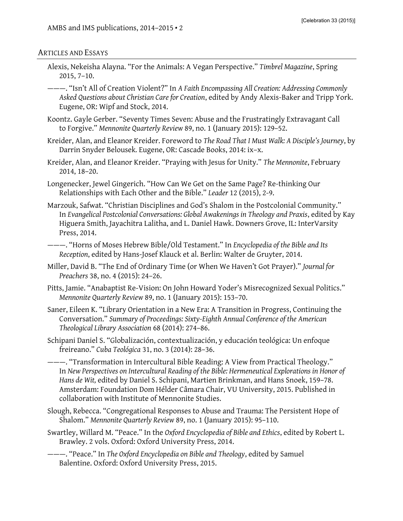#### ARTICLES AND ESSAYS

- Alexis, Nekeisha Alayna. "For the Animals: A Vegan Perspective." *Timbrel Magazine*, Spring 2015, 7–10.
- ———. "Isn't All of Creation Violent?" In *A Faith Encompassing All Creation: Addressing Commonly Asked Questions about Christian Care for Creation*, edited by Andy Alexis-Baker and Tripp York. Eugene, OR: Wipf and Stock, 2014.
- Koontz. Gayle Gerber. "Seventy Times Seven: Abuse and the Frustratingly Extravagant Call to Forgive." *Mennonite Quarterly Review* 89, no. 1 (January 2015): 129–52.
- Kreider, Alan, and Eleanor Kreider. Foreword to *The Road That I Must Walk: A Disciple's Journey*, by Darrin Snyder Belousek*.* Eugene, OR: Cascade Books, 2014: ix–x.
- Kreider, Alan, and Eleanor Kreider. "Praying with Jesus for Unity." *The Mennonite*, February 2014, 18–20.
- Longenecker, Jewel Gingerich. "How Can We Get on the Same Page? Re-thinking Our Relationships with Each Other and the Bible." *Leader* 12 (2015), 2-9.
- Marzouk, Safwat. "Christian Disciplines and God's Shalom in the Postcolonial Community." In *Evangelical Postcolonial Conversations: Global Awakenings in Theology and Praxis*, edited by Kay Higuera Smith, Jayachitra Lalitha, and L. Daniel Hawk. Downers Grove, IL: InterVarsity Press, 2014.
- ———. "Horns of Moses Hebrew Bible/Old Testament." In *Encyclopedia of the Bible and Its Reception*, edited by Hans-Josef Klauck et al. Berlin: Walter de Gruyter, 2014.
- Miller, David B. "The End of Ordinary Time (or When We Haven't Got Prayer)." *Journal for Preachers* 38, no. 4 (2015): 24–26.
- Pitts, Jamie. "Anabaptist Re-Vision: On John Howard Yoder's Misrecognized Sexual Politics." *Mennonite Quarterly Review* 89, no. 1 (January 2015): 153–70.
- Saner, Eileen K. "Library Orientation in a New Era: A Transition in Progress, Continuing the Conversation." *Summary of Proceedings: Sixty-Eighth Annual Conference of the American Theological Library Association* 68 (2014): 274–86.
- Schipani Daniel S. "Globalización, contextualización, y educación teológica: Un enfoque freireano." *Cuba Teológica* 31, no. 3 (2014): 28–36.
- ———. "Transformation in Intercultural Bible Reading: A View from Practical Theology." In *New Perspectives on Intercultural Reading of the Bible: Hermeneutical Explorations in Honor of Hans de Wit,* edited by Daniel S. Schipani, Martien Brinkman, and Hans Snoek, 159–78. Amsterdam: Foundation Dom Hélder Câmara Chair, VU University, 2015. Published in collaboration with Institute of Mennonite Studies.
- Slough, Rebecca. "Congregational Responses to Abuse and Trauma: The Persistent Hope of Shalom." *Mennonite Quarterly Review* 89, no. 1 (January 2015): 95–110.
- Swartley, Willard M. "Peace." In the *Oxford Encyclopedia of Bible and Ethics*, edited by Robert L. Brawley. 2 vols. Oxford: Oxford University Press, 2014.
- ———. "Peace." In *The Oxford Encyclopedia on Bible and Theology*, edited by Samuel Balentine. Oxford: Oxford University Press, 2015.